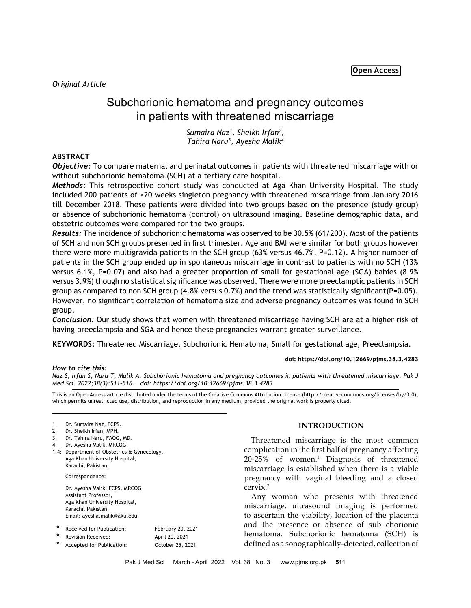*Original Article*

# Subchorionic hematoma and pregnancy outcomes in patients with threatened miscarriage

*Sumaira Naz1 , Sheikh Irfan2 , Tahira Naru3 , Ayesha Malik4*

## **ABSTRACT**

*Objective:* To compare maternal and perinatal outcomes in patients with threatened miscarriage with or without subchorionic hematoma (SCH) at a tertiary care hospital.

*Methods:* This retrospective cohort study was conducted at Aga Khan University Hospital. The study included 200 patients of <20 weeks singleton pregnancy with threatened miscarriage from January 2016 till December 2018. These patients were divided into two groups based on the presence (study group) or absence of subchorionic hematoma (control) on ultrasound imaging. Baseline demographic data, and obstetric outcomes were compared for the two groups.

*Results:* The incidence of subchorionic hematoma was observed to be 30.5% (61/200). Most of the patients of SCH and non SCH groups presented in first trimester. Age and BMI were similar for both groups however there were more multigravida patients in the SCH group (63% versus 46.7%, P=0.12). A higher number of patients in the SCH group ended up in spontaneous miscarriage in contrast to patients with no SCH (13% versus 6.1%, P=0.07) and also had a greater proportion of small for gestational age (SGA) babies (8.9% versus 3.9%) though no statistical significance was observed. There were more preeclamptic patients in SCH group as compared to non SCH group  $(4.8\%$  versus 0.7%) and the trend was statistically significant(P=0.05). However, no significant correlation of hematoma size and adverse pregnancy outcomes was found in SCH group.

*Conclusion:* Our study shows that women with threatened miscarriage having SCH are at a higher risk of having preeclampsia and SGA and hence these pregnancies warrant greater surveillance.

**KEYWORDS:** Threatened Miscarriage, Subchorionic Hematoma, Small for gestational age, Preeclampsia.

### **doi: https://doi.org/10.12669/pjms.38.3.4283**

*How to cite this:*

*Naz S, Irfan S, Naru T, Malik A. Subchorionic hematoma and pregnancy outcomes in patients with threatened miscarriage. Pak J* 

*Med Sci. 2022;38(3):511-516. doi: https://doi.org/10.12669/pjms.38.3.4283* This is an Open Access article distributed under the terms of the Creative Commons Attribution License (http://creativecommons.org/licenses/by/3.0),

which permits unrestricted use, distribution, and reproduction in any medium, provided the original work is properly cited.

- 3. Dr. Tahira Naru, FAOG, MD.
- 4. Dr. Ayesha Malik, MRCOG.
- 1-4: Department of Obstetrics & Gynecology, Aga Khan University Hospital, Karachi, Pakistan.

Correspondence:

Dr. Ayesha Malik, FCPS, MRCOG Assistant Professor, Aga Khan University Hospital, Karachi, Pakistan. Email: ayesha.malik@aku.edu

| * | Received for Publication: | February 20, 2021 |
|---|---------------------------|-------------------|
|   | Revision Received:        | April 20, 2021    |
|   | Accepted for Publication: | October 25, 2021  |

## **INTRODUCTION**

Threatened miscarriage is the most common complication in the first half of pregnancy affecting 20-25% of women.<sup>1</sup> Diagnosis of threatened miscarriage is established when there is a viable pregnancy with vaginal bleeding and a closed cervix.<sup>2</sup>

Any woman who presents with threatened miscarriage, ultrasound imaging is performed to ascertain the viability, location of the placenta and the presence or absence of sub chorionic hematoma. Subchorionic hematoma (SCH) is defined as a sonographically-detected, collection of

<sup>1.</sup> Dr. Sumaira Naz, FCPS.

<sup>2.</sup> Dr. Sheikh Irfan, MPH.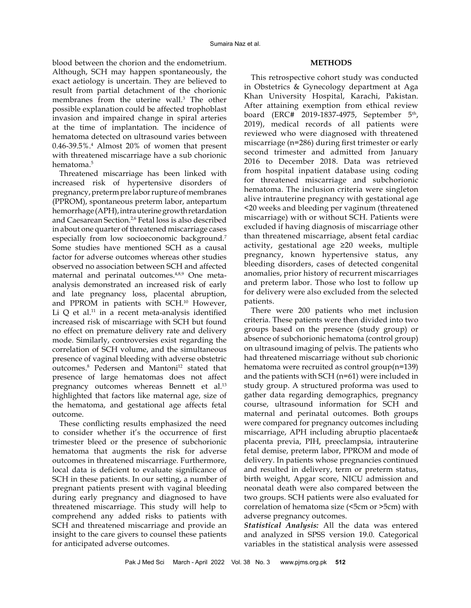blood between the chorion and the endometrium. Although, SCH may happen spontaneously, the exact aetiology is uncertain. They are believed to result from partial detachment of the chorionic membranes from the uterine wall.<sup>3</sup> The other possible explanation could be affected trophoblast invasion and impaired change in spiral arteries at the time of implantation. The incidence of hematoma detected on ultrasound varies between 0.46-39.5%.4 Almost 20% of women that present with threatened miscarriage have a sub chorionic hematoma.<sup>5</sup>

Threatened miscarriage has been linked with increased risk of hypertensive disorders of pregnancy, preterm pre labor rupture of membranes (PPROM), spontaneous preterm labor, antepartum hemorrhage (APH), intra uterine growth retardation and Caesarean Section.<sup>2,6</sup> Fetal loss is also described in about one quarter of threatened miscarriage cases especially from low socioeconomic background.<sup>7</sup> Some studies have mentioned SCH as a causal factor for adverse outcomes whereas other studies observed no association between SCH and affected maternal and perinatal outcomes.4,8,9 One metaanalysis demonstrated an increased risk of early and late pregnancy loss, placental abruption, and PPROM in patients with SCH.<sup>10</sup> However, Li  $Q$  et al.<sup>11</sup> in a recent meta-analysis identified increased risk of miscarriage with SCH but found no effect on premature delivery rate and delivery mode. Similarly, controversies exist regarding the correlation of SCH volume, and the simultaneous presence of vaginal bleeding with adverse obstetric outcomes.<sup>8</sup> Pedersen and Mantoni<sup>12</sup> stated that presence of large hematomas does not affect pregnancy outcomes whereas Bennett et al.<sup>13</sup> highlighted that factors like maternal age, size of the hematoma, and gestational age affects fetal outcome.

These conflicting results emphasized the need to consider whether it's the occurrence of first trimester bleed or the presence of subchorionic hematoma that augments the risk for adverse outcomes in threatened miscarriage. Furthermore, local data is deficient to evaluate significance of SCH in these patients. In our setting, a number of pregnant patients present with vaginal bleeding during early pregnancy and diagnosed to have threatened miscarriage. This study will help to comprehend any added risks to patients with SCH and threatened miscarriage and provide an insight to the care givers to counsel these patients for anticipated adverse outcomes.

## **METHODS**

This retrospective cohort study was conducted in Obstetrics & Gynecology department at Aga Khan University Hospital, Karachi, Pakistan. After attaining exemption from ethical review board (ERC# 2019-1837-4975, September 5<sup>th</sup>, 2019), medical records of all patients were reviewed who were diagnosed with threatened miscarriage (n=286) during first trimester or early second trimester and admitted from January 2016 to December 2018. Data was retrieved from hospital inpatient database using coding for threatened miscarriage and subchorionic hematoma. The inclusion criteria were singleton alive intrauterine pregnancy with gestational age <20 weeks and bleeding per vaginum (threatened miscarriage) with or without SCH. Patients were excluded if having diagnosis of miscarriage other than threatened miscarriage, absent fetal cardiac activity, gestational age ≥20 weeks, multiple pregnancy, known hypertensive status, any bleeding disorders, cases of detected congenital anomalies, prior history of recurrent miscarriages and preterm labor. Those who lost to follow up for delivery were also excluded from the selected patients.

There were 200 patients who met inclusion criteria. These patients were then divided into two groups based on the presence (study group) or absence of subchorionic hematoma (control group) on ultrasound imaging of pelvis. The patients who had threatened miscarriage without sub chorionic hematoma were recruited as control group(n=139) and the patients with SCH (n=61) were included in study group. A structured proforma was used to gather data regarding demographics, pregnancy course, ultrasound information for SCH and maternal and perinatal outcomes. Both groups were compared for pregnancy outcomes including miscarriage, APH including abruptio placentae& placenta previa, PIH, preeclampsia, intrauterine fetal demise, preterm labor, PPROM and mode of delivery. In patients whose pregnancies continued and resulted in delivery, term or preterm status, birth weight, Apgar score, NICU admission and neonatal death were also compared between the two groups. SCH patients were also evaluated for correlation of hematoma size (<5cm or >5cm) with adverse pregnancy outcomes.

*Statistical Analysis:* All the data was entered and analyzed in SPSS version 19.0. Categorical variables in the statistical analysis were assessed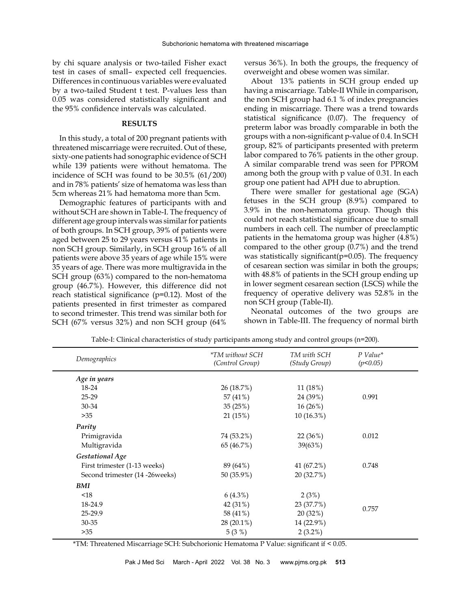by chi square analysis or two-tailed Fisher exact test in cases of small– expected cell frequencies. Differences in continuous variables were evaluated by a two-tailed Student t test. P-values less than 0.05 was considered statistically significant and the 95% confidence intervals was calculated.

#### **RESULTS**

In this study, a total of 200 pregnant patients with threatened miscarriage were recruited. Out of these, sixty-one patients had sonographic evidence of SCH while 139 patients were without hematoma. The incidence of SCH was found to be 30.5% (61/200) and in 78% patients' size of hematoma was less than 5cm whereas 21% had hematoma more than 5cm.

Demographic features of participants with and without SCH are shown in Table-I. The frequency of different age group intervals was similar for patients of both groups. In SCH group, 39% of patients were aged between 25 to 29 years versus 41% patients in non SCH group. Similarly, in SCH group 16% of all patients were above 35 years of age while 15% were 35 years of age. There was more multigravida in the SCH group (63%) compared to the non-hematoma group (46.7%). However, this difference did not reach statistical significance (p=0.12). Most of the patients presented in first trimester as compared to second trimester. This trend was similar both for SCH (67% versus 32%) and non SCH group (64%

versus 36%). In both the groups, the frequency of overweight and obese women was similar.

About 13% patients in SCH group ended up having a miscarriage. Table-II While in comparison, the non SCH group had 6.1 % of index pregnancies ending in miscarriage. There was a trend towards statistical significance (0.07). The frequency of preterm labor was broadly comparable in both the groups with a non-significant p-value of 0.4. In SCH group, 82% of participants presented with preterm labor compared to 76% patients in the other group. A similar comparable trend was seen for PPROM among both the group with p value of 0.31. In each group one patient had APH due to abruption.

There were smaller for gestational age (SGA) fetuses in the SCH group (8.9%) compared to 3.9% in the non-hematoma group. Though this could not reach statistical significance due to small numbers in each cell. The number of preeclamptic patients in the hematoma group was higher (4.8%) compared to the other group (0.7%) and the trend was statistically significant(p=0.05). The frequency of cesarean section was similar in both the groups; with 48.8% of patients in the SCH group ending up in lower segment cesarean section (LSCS) while the frequency of operative delivery was 52.8% in the non SCH group (Table-II).

Neonatal outcomes of the two groups are shown in Table-III. The frequency of normal birth

| Demographics                   | <i>*TM without SCH</i><br>(Control Group) | TM with SCH<br>(Study Group) | $P$ Value*<br>(p<0.05) |
|--------------------------------|-------------------------------------------|------------------------------|------------------------|
| Age in years                   |                                           |                              |                        |
| 18-24                          | 26 (18.7%)                                | 11 (18%)                     |                        |
| $25 - 29$                      | 57 (41%)                                  | 24 (39%)                     | 0.991                  |
| 30-34                          | 35(25%)                                   | 16 (26%)                     |                        |
| >35                            | 21 (15%)                                  | 10 (16.3%)                   |                        |
| Parity                         |                                           |                              |                        |
| Primigravida                   | 74 (53.2%)                                | 22 (36%)                     | 0.012                  |
| Multigravida                   | 65 (46.7%)                                | 39(63%)                      |                        |
| <b>Gestational Age</b>         |                                           |                              |                        |
| First trimester (1-13 weeks)   | 89 (64%)                                  | 41 (67.2%)                   | 0.748                  |
| Second trimester (14 -26weeks) | 50 (35.9%)                                | 20 (32.7%)                   |                        |
| BMI                            |                                           |                              |                        |
| < 18                           | $6(4.3\%)$                                | 2(3%)                        | 0.757                  |
| 18-24.9                        | 42 (31%)                                  | 23 (37.7%)                   |                        |
| 25-29.9                        | 58 (41%)                                  | 20 (32%)                     |                        |
| 30-35                          | 28 (20.1%)                                | 14 (22.9%)                   |                        |
| >35                            | 5(3%)                                     | $2(3.2\%)$                   |                        |

Table-I: Clinical characteristics of study participants among study and control groups (n=200).

\*TM: Threatened Miscarriage SCH: Subchorionic Hematoma P Value: significant if < 0.05.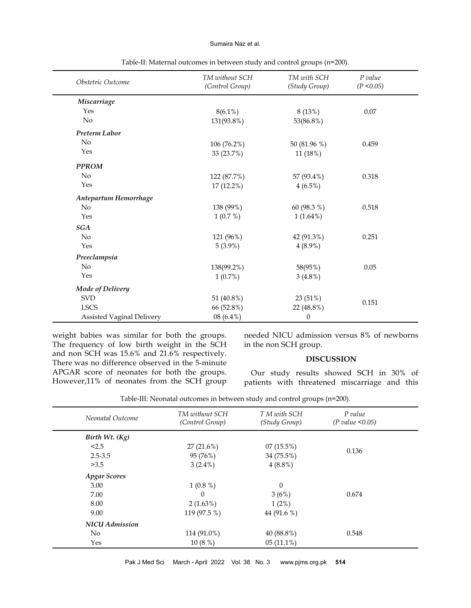#### Sumaira Naz et al.

| Obstetric Outcome                | TM without SCH<br>(Control Group) | TM with SCH<br>(Study Group) | P value<br>(P < 0.05) |
|----------------------------------|-----------------------------------|------------------------------|-----------------------|
| Miscarriage                      |                                   |                              |                       |
| Yes                              | $8(6.1\%)$                        | 8(13%)                       | 0.07                  |
| No                               | 131(93.8%)                        | 53(86.8%)                    |                       |
| Preterm Labor                    |                                   |                              |                       |
| N <sub>o</sub>                   | 106 (76.2%)                       | 50 (81.96 %)                 | 0.459                 |
| Yes                              | 33 (23.7%)                        | 11 (18%)                     |                       |
| <b>PPROM</b>                     |                                   |                              |                       |
| No                               | 122 (87.7%)                       | 57 (93.4%)                   | 0.318                 |
| Yes                              | 17 (12.2%)                        | $4(6.5\%)$                   |                       |
| Antepartum Hemorrhage            |                                   |                              |                       |
| No                               | 138 (99%)                         | 60 (98.3 %)                  | 0.518                 |
| Yes                              | 1(0.7%)                           | $1(1.64\%)$                  |                       |
| SGA                              |                                   |                              |                       |
| No                               | 121 (96%)                         | 42 (91.3%)                   | 0.251                 |
| Yes                              | $5(3.9\%)$                        | $4(8.9\%)$                   |                       |
| Preeclampsia                     |                                   |                              |                       |
| $\rm No$                         | 138(99.2%)                        | 58(95%)                      | 0.05                  |
| Yes                              | 1(0.7%)                           | $3(4.8\%)$                   |                       |
| Mode of Delivery                 |                                   |                              |                       |
| <b>SVD</b>                       | 51 (40.8%)                        | 23 (51%)                     | 0.151                 |
| <b>LSCS</b>                      | 66 (52.8%)                        | 22 (48.8%)                   |                       |
| <b>Assisted Vaginal Delivery</b> | 08 (6.4%)                         | $\theta$                     |                       |

Table-II: Maternal outcomes in between study and control groups (n=200).

weight babies was similar for both the groups. The frequency of low birth weight in the SCH and non SCH was 15.6% and 21.6% respectively. There was no difference observed in the 5-minute APGAR score of neonates for both the groups. However,11% of neonates from the SCH group needed NICU admission versus 8% of newborns in the non SCH group.

## **DISCUSSION**

Our study results showed SCH in 30% of patients with threatened miscarriage and this

Table-III: Neonatal outcomes in between study and control groups (n=200).

| Neonatal Outcome      | TM without SCH<br>(Control Group) | T M with SCH<br>(Study Group) | P value<br>(P value < 0.05) |  |
|-----------------------|-----------------------------------|-------------------------------|-----------------------------|--|
| Birth Wt. $(Kg)$      |                                   |                               |                             |  |
| < 2.5                 | 27(21.6%)                         | 07(15.5%)                     |                             |  |
| $2.5 - 3.5$           | 95 (76%)                          | 34 (75.5%)                    | 0.136                       |  |
| >3.5                  | $3(2.4\%)$                        | $4(8.8\%)$                    |                             |  |
| <b>Apgar Scores</b>   |                                   |                               |                             |  |
| 3.00                  | $1(0.8\%)$                        | $\theta$                      |                             |  |
| 7.00                  | $\Omega$                          | 3(6%)                         | 0.674                       |  |
| 8.00                  | 2(1.63%)                          | $1(2\%)$                      |                             |  |
| 9.00                  | 119 (97.5 %)                      | 44 (91.6 %)                   |                             |  |
| <b>NICU</b> Admission |                                   |                               |                             |  |
| No.                   | 114 (91.0%)                       | 40 (88.8%)                    | 0.548                       |  |
| Yes                   | 10(8%)                            | $05(11.1\%)$                  |                             |  |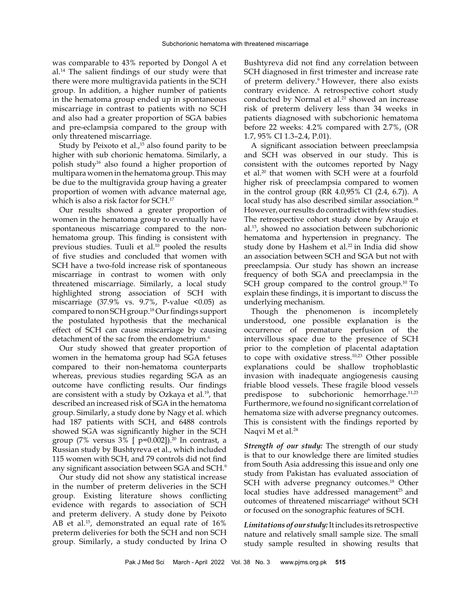was comparable to 43% reported by Dongol A et al.14 The salient findings of our study were that there were more multigravida patients in the SCH group. In addition, a higher number of patients in the hematoma group ended up in spontaneous miscarriage in contrast to patients with no SCH and also had a greater proportion of SGA babies and pre-eclampsia compared to the group with only threatened miscarriage.

Study by Peixoto et al.,<sup>15</sup> also found parity to be higher with sub chorionic hematoma. Similarly, a polish study16 also found a higher proportion of multipara women in the hematoma group. This may be due to the multigravida group having a greater proportion of women with advance maternal age, which is also a risk factor for SCH.<sup>17</sup>

Our results showed a greater proportion of women in the hematoma group to eventually have spontaneous miscarriage compared to the nonhematoma group. This finding is consistent with previous studies. Tuuli et al.<sup>10</sup> pooled the results of five studies and concluded that women with SCH have a two-fold increase risk of spontaneous miscarriage in contrast to women with only threatened miscarriage. Similarly, a local study highlighted strong association of SCH with miscarriage  $(37.9\% \text{ vs. } 9.7\% \text{, } P\text{-value } <0.05)$  as compared to non SCH group.18 Our findings support the postulated hypothesis that the mechanical effect of SCH can cause miscarriage by causing detachment of the sac from the endometrium.<sup>6</sup>

Our study showed that greater proportion of women in the hematoma group had SGA fetuses compared to their non-hematoma counterparts whereas, previous studies regarding SGA as an outcome have conflicting results. Our findings are consistent with a study by Ozkaya et al.<sup>19</sup>, that described an increased risk of SGA in the hematoma group. Similarly, a study done by Nagy et al. which had 187 patients with SCH, and 6488 controls showed SGA was significantly higher in the SCH group (7% versus  $3\%$  [ p=0.002]).<sup>20</sup> In contrast, a Russian study by Bushtyreva et al., which included 115 women with SCH, and 79 controls did not find any significant association between SGA and SCH.9

Our study did not show any statistical increase in the number of preterm deliveries in the SCH group. Existing literature shows conflicting evidence with regards to association of SCH and preterm delivery. A study done by Peixoto AB et al.<sup>15</sup>, demonstrated an equal rate of 16% preterm deliveries for both the SCH and non SCH group. Similarly, a study conducted by Irina O

Bushtyreva did not find any correlation between SCH diagnosed in first trimester and increase rate of preterm delivery.9 However, there also exists contrary evidence. A retrospective cohort study conducted by Normal et al.<sup>21</sup> showed an increase risk of preterm delivery less than 34 weeks in patients diagnosed with subchorionic hematoma before 22 weeks: 4.2% compared with 2.7%, (OR 1.7, 95% CI 1.3–2.4, P.01).

A significant association between preeclampsia and SCH was observed in our study. This is consistent with the outcomes reported by Nagy et al.<sup>20</sup> that women with SCH were at a fourfold higher risk of preeclampsia compared to women in the control group (RR 4.0,95% CI (2.4, 6.7)). A local study has also described similar association.<sup>18</sup> However, our results do contradict with few studies. The retrospective cohort study done by Araujo et al.<sup>15</sup>, showed no association between subchorionic hematoma and hypertension in pregnancy. The study done by Hashem et al.<sup>22</sup> in India did show an association between SCH and SGA but not with preeclampsia. Our study has shown an increase frequency of both SGA and preeclampsia in the SCH group compared to the control group.<sup>10</sup> To explain these findings, it is important to discuss the underlying mechanism.

Though the phenomenon is incompletely understood, one possible explanation is the occurrence of premature perfusion of the intervillous space due to the presence of SCH prior to the completion of placental adaptation to cope with oxidative stress.10,23 Other possible explanations could be shallow trophoblastic invasion with inadequate angiogenesis causing friable blood vessels. These fragile blood vessels predispose to subchorionic hemorrhage.11,23 Furthermore, we found no significant correlation of hematoma size with adverse pregnancy outcomes. This is consistent with the findings reported by Naqvi M et al.<sup>24</sup>

*Strength of our study:* The strength of our study is that to our knowledge there are limited studies from South Asia addressing this issue and only one study from Pakistan has evaluated association of SCH with adverse pregnancy outcomes.<sup>18</sup> Other local studies have addressed management<sup>25</sup> and outcomes of threatened miscarriage<sup>6</sup> without SCH or focused on the sonographic features of SCH.

*Limitations of our study:* It includes its retrospective nature and relatively small sample size. The small study sample resulted in showing results that